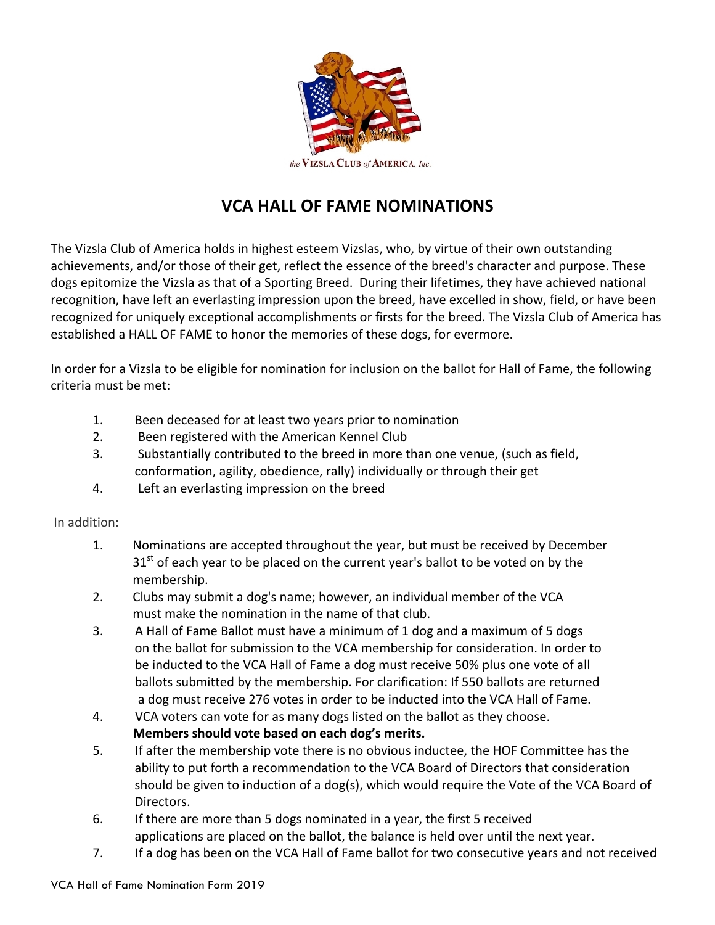

## **VCA HALL OF FAME NOMINATIONS**

The Vizsla Club of America holds in highest esteem Vizslas, who, by virtue of their own outstanding achievements, and/or those of their get, reflect the essence of the breed's character and purpose. These dogs epitomize the Vizsla as that of a Sporting Breed. During their lifetimes, they have achieved national recognition, have left an everlasting impression upon the breed, have excelled in show, field, or have been recognized for uniquely exceptional accomplishments or firsts for the breed. The Vizsla Club of America has established a HALL OF FAME to honor the memories of these dogs, for evermore.

In order for a Vizsla to be eligible for nomination for inclusion on the ballot for Hall of Fame, the following criteria must be met:

- 1. Been deceased for at least two years prior to nomination
- 2. Been registered with the American Kennel Club
- 3. Substantially contributed to the breed in more than one venue, (such as field, conformation, agility, obedience, rally) individually or through their get
- 4. Left an everlasting impression on the breed

## In addition:

- 1. Nominations are accepted throughout the year, but must be received by December  $31<sup>st</sup>$  of each year to be placed on the current year's ballot to be voted on by the membership.
- 2. Clubs may submit a dog's name; however, an individual member of the VCA must make the nomination in the name of that club.
- 3. A Hall of Fame Ballot must have a minimum of 1 dog and a maximum of 5 dogs on the ballot for submission to the VCA membership for consideration. In order to be inducted to the VCA Hall of Fame a dog must receive 50% plus one vote of all ballots submitted by the membership. For clarification: If 550 ballots are returned a dog must receive 276 votes in order to be inducted into the VCA Hall of Fame.
- 4. VCA voters can vote for as many dogs listed on the ballot as they choose. Members should vote based on each dog's merits.
- 5. If after the membership vote there is no obvious inductee, the HOF Committee has the ability to put forth a recommendation to the VCA Board of Directors that consideration should be given to induction of a dog(s), which would require the Vote of the VCA Board of Directors.
- 6. If there are more than 5 dogs nominated in a year, the first 5 received applications are placed on the ballot, the balance is held over until the next year.
- 7. If a dog has been on the VCA Hall of Fame ballot for two consecutive years and not received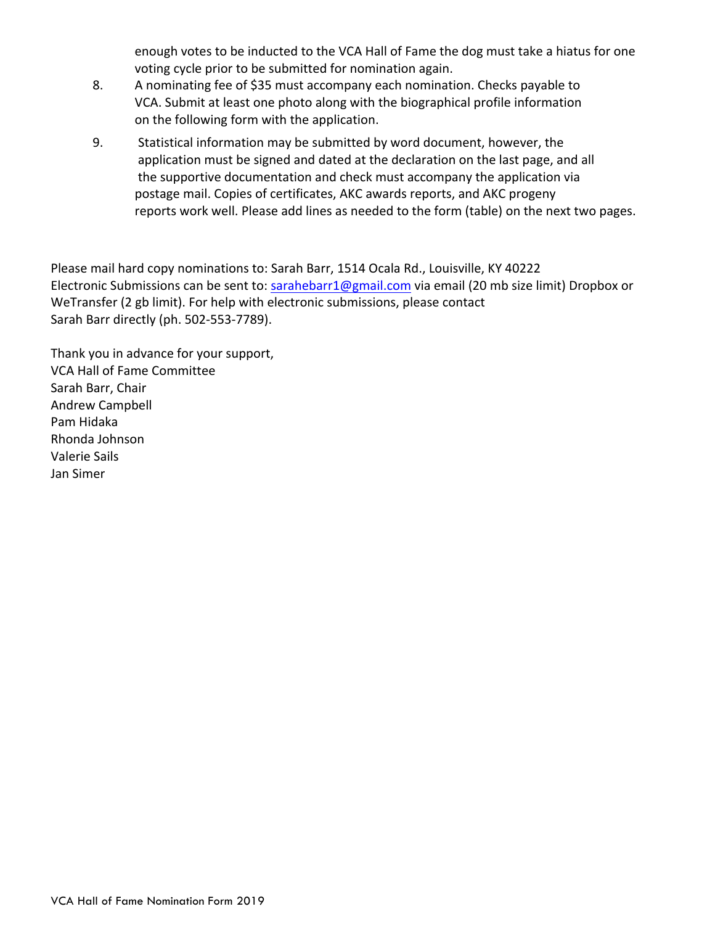enough votes to be inducted to the VCA Hall of Fame the dog must take a hiatus for one voting cycle prior to be submitted for nomination again.

- 8. A nominating fee of \$35 must accompany each nomination. Checks payable to VCA. Submit at least one photo along with the biographical profile information on the following form with the application.
- 9. Statistical information may be submitted by word document, however, the application must be signed and dated at the declaration on the last page, and all the supportive documentation and check must accompany the application via postage mail. Copies of certificates, AKC awards reports, and AKC progeny reports work well. Please add lines as needed to the form (table) on the next two pages.

Please mail hard copy nominations to: Sarah Barr, 1514 Ocala Rd., Louisville, KY 40222 Electronic Submissions can be sent to: sarahebarr1@gmail.com via email (20 mb size limit) Dropbox or WeTransfer (2 gb limit). For help with electronic submissions, please contact Sarah Barr directly (ph. 502-553-7789).

Thank you in advance for your support, VCA Hall of Fame Committee Sarah Barr, Chair Andrew Campbell Pam Hidaka Rhonda Johnson Valerie Sails Jan Simer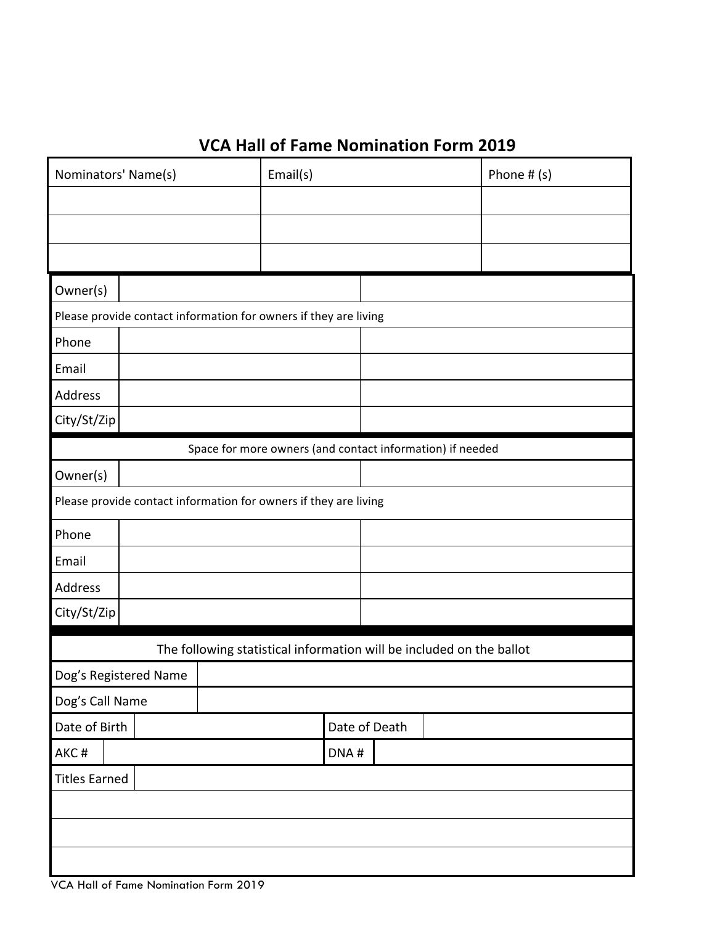## **VCA Hall of Fame Nomination Form 2019**

| Nominators' Name(s)                                                  | Email(s) |               | Phone $# (s)$ |  |  |  |
|----------------------------------------------------------------------|----------|---------------|---------------|--|--|--|
|                                                                      |          |               |               |  |  |  |
|                                                                      |          |               |               |  |  |  |
|                                                                      |          |               |               |  |  |  |
| Owner(s)                                                             |          |               |               |  |  |  |
| Please provide contact information for owners if they are living     |          |               |               |  |  |  |
| Phone                                                                |          |               |               |  |  |  |
| Email                                                                |          |               |               |  |  |  |
| Address                                                              |          |               |               |  |  |  |
| City/St/Zip                                                          |          |               |               |  |  |  |
| Space for more owners (and contact information) if needed            |          |               |               |  |  |  |
| Owner(s)                                                             |          |               |               |  |  |  |
| Please provide contact information for owners if they are living     |          |               |               |  |  |  |
| Phone                                                                |          |               |               |  |  |  |
| Email                                                                |          |               |               |  |  |  |
| Address                                                              |          |               |               |  |  |  |
| City/St/Zip                                                          |          |               |               |  |  |  |
| The following statistical information will be included on the ballot |          |               |               |  |  |  |
| Dog's Registered Name                                                |          |               |               |  |  |  |
| Dog's Call Name                                                      |          |               |               |  |  |  |
| Date of Birth                                                        |          | Date of Death |               |  |  |  |
| AKC#                                                                 | DNA#     |               |               |  |  |  |
| <b>Titles Earned</b>                                                 |          |               |               |  |  |  |
|                                                                      |          |               |               |  |  |  |
|                                                                      |          |               |               |  |  |  |
|                                                                      |          |               |               |  |  |  |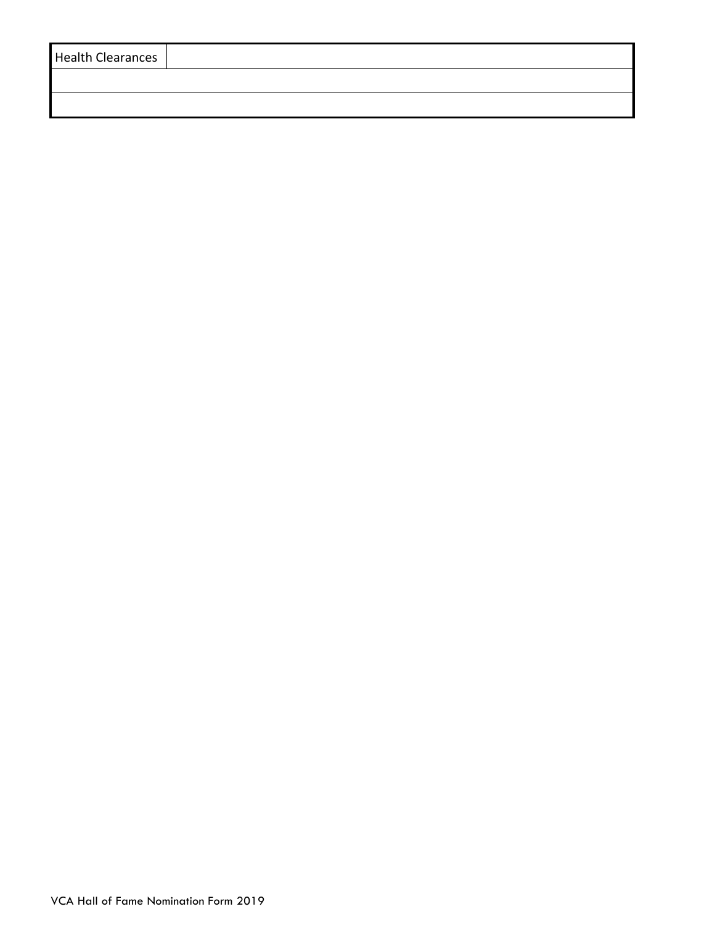| <b>Health Clearances</b> |  |
|--------------------------|--|
|                          |  |
|                          |  |